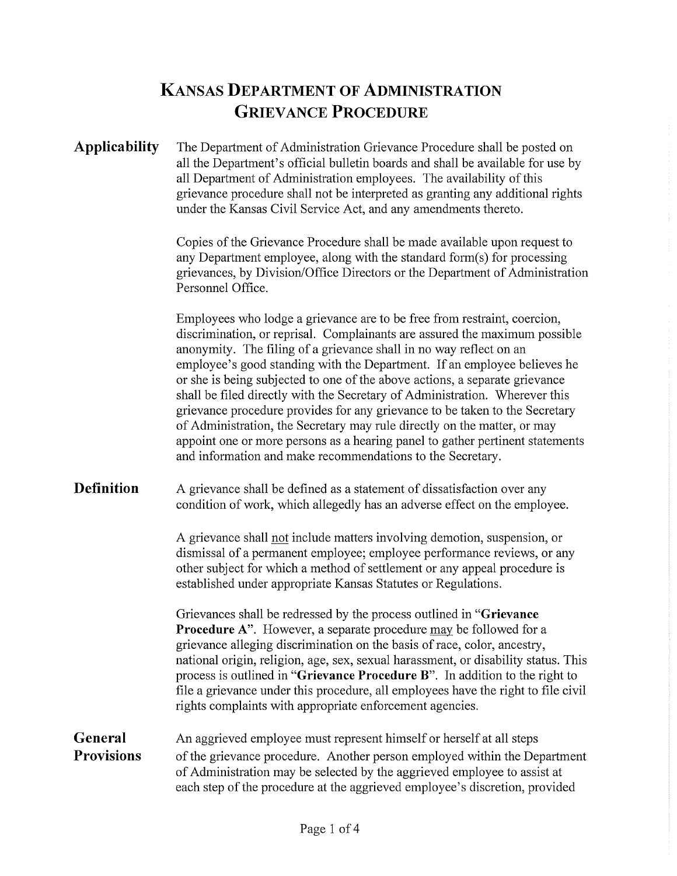# **KANSAS DEPARTMENT OF ADMINISTRATION GRIEVANCE PROCEDURE**

Applicability The Department of Administration Grievance Procedure shall be posted on all the Department's official bulletin boards and shall be available for use by all Department of Administration employees. The availability of this grievance procedure shall not be interpreted as granting any additional rights under the Kansas Civil Service Act, and any amendments thereto.

> Copies of the Grievance Procedure shall be made available upon request to any Department employee, along with the standard form $(s)$  for processing grievances, by Division/Office Directors or the Department of Administration Personnel Office.

Employees who lodge a grievance are to be free from restraint, coercion, discrimination, or reprisal. Complainants are assured the maximum possible anonymity. The filing of a grievance shall in no way reflect on an employee's good standing with the Department. If an employee believes he or she is being subjected to one of the above actions, a separate grievance shall be filed directly with the Secretary of Administration. Wherever this grievance procedure provides for any grievance to be taken to the Secretary of Administration, the Secretary may rule directly on the matter, or may appoint one or more persons as a hearing panel to gather pertinent statements and information and make recommendations to the Secretary.

**Definition**  A grievance shall be defined as a statement of dissatisfaction over any condition of work, which allegedly has an adverse effect on the employee.

> A grievance shall not include matters involving demotion, suspension, or dismissal of a permanent employee; employee performance reviews, or any other subject for which a method of settlement or any appeal procedure is established under appropriate Kansas Statutes or Regulations.

Grievances shall be redressed by the process outlined in **"Grievance Procedure** A". However, a separate procedure may be followed for a grievance alleging discrimination on the basis of race, color, ancestry, national origin, religion, age, sex, sexual harassment, or disability status. This process is outlined in **"Grievance Procedure** B". In addition to the right to file a grievance under this procedure, all employees have the right to file civil rights complaints with appropriate enforcement agencies.

#### **General Provisions**  An aggrieved employee must represent himself or herself at all steps of the grievance procedure. Another person employed within the Department of Administration may be selected by the aggrieved employee to assist at each step of the procedure at the aggrieved employee's discretion, provided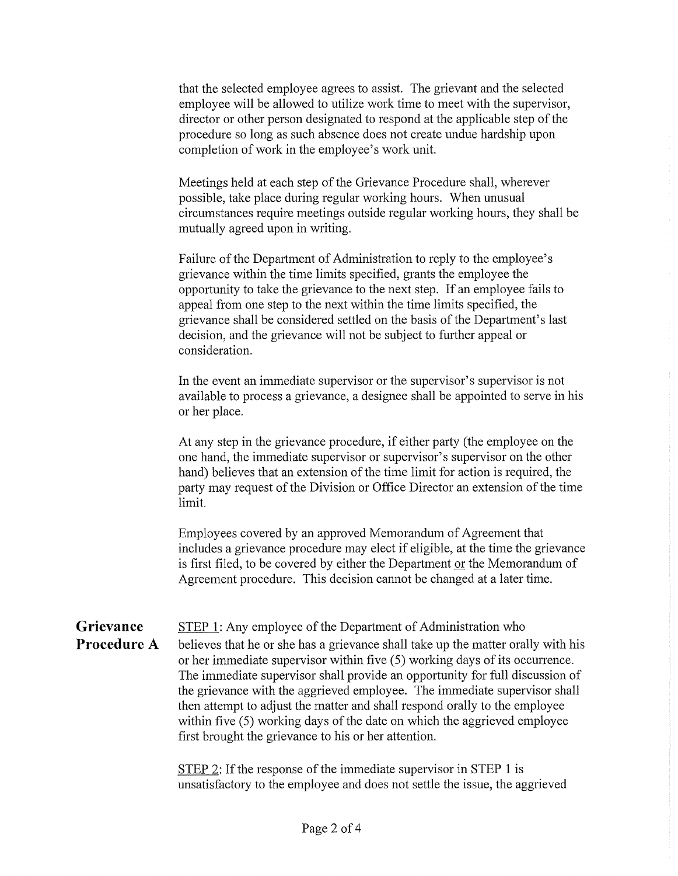that the selected employee agrees to assist. The grievant and the selected employee will be allowed to utilize work time to meet with the supervisor, director or other person designated to respond at the applicable step of the procedure so long as such absence does not create undue hardship upon completion of work in the employee's work unit.

Meetings held at each step of the Grievance Procedure shall, wherever possible, take place during regular working hours. When unusual circumstances require meetings outside regular working hours, they shall be mutually agreed upon in writing.

Failure of the Department of Administration to reply to the employee's grievance within the time limits specified, grants the employee the opportunity to take the grievance to the next step. If an employee fails to appeal from one step to the next within the time limits specified, the grievance shall be considered settled on the basis of the Department's last decision, and the grievance will not be subject to further appeal or consideration.

In the event an immediate supervisor or the supervisor's supervisor is not available to process a grievance, a designee shall be appointed to serve in his or her place.

At any step in the grievance procedure, if either party (the employee on the one hand, the immediate supervisor or supervisor's supervisor on the other hand) believes that an extension of the time limit for action is required, the party may request of the Division or Office Director an extension of the time limit.

Employees covered by an approved Memorandum of Agreement that includes a grievance procedure may elect if eligible, at the time the grievance is first filed, to be covered by either the Department or the Memorandum of Agreement procedure. This decision cannot be changed at a later time.

#### **Grievance Procedure A**  STEP **1:** Any employee of the Depatiment of Administration who believes that he or she has a grievance shall take up the matter orally with his or her immediate supervisor within five (5) working days of its occurrence. The immediate supervisor shall provide an opportunity for full discussion of the grievance with the aggrieved employee. The immediate supervisor shall then attempt to adjust the matter and shall respond orally to the employee within five (5) working days of the date on which the aggrieved employee first brought the grievance to his or her attention.

STEP 2: If the response of the immediate supervisor in STEP 1 is unsatisfactory to the employee and does not settle the issue, the aggrieved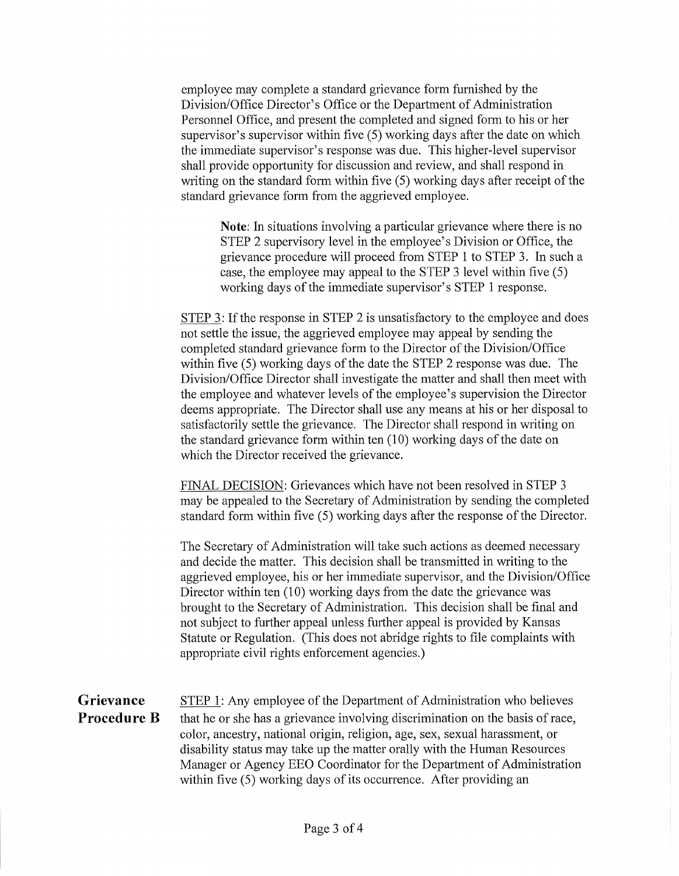employee may complete a standard grievance form furnished by the Division/Office Director's Office or the Department of Administration Personnel Office, and present the completed and signed form to his or her supervisor's supervisor within five (5) working days after the date on which the immediate supervisor's response was due. This higher-level supervisor shall provide opportunity for discussion and review, and shall respond in writing on the standard form within five (5) working days after receipt of the standard grievance form from the aggrieved employee.

Note: In situations involving a particular grievance where there is no STEP 2 supervisory level in the employee's Division or Office, the grievance procedure will proceed from STEP 1 to STEP 3. In such a case, the employee may appeal to the STEP 3 level within five (5) working days of the immediate supervisor's STEP 1 response.

STEP 3: If the response in STEP 2 is unsatisfactory to the employee and does not settle the issue, the aggrieved employee may appeal by sending the completed standard grievance form to the Director of the Division/Office within five (5) working days of the date the STEP 2 response was due. The Division/Office Director shall investigate the matter and shall then meet with the employee and whatever levels of the employee's supervision the Director deems appropriate. The Director shall use any means at his or her disposal to satisfactorily settle the grievance. The Director shall respond in writing on the standard grievance form within ten (10) working days of the date on which the Director received the grievance.

FINAL DECISION: Grievances which have not been resolved in STEP 3 may be appealed to the Secretary of Administration by sending the completed standard form within five (5) working days after the response of the Director.

The Secretary of Administration will take such actions as deemed necessary and decide the matter. This decision shall be transmitted in writing to the aggrieved employee, his or her immediate supervisor, and the Division/Office Director within ten (10) working days from the date the grievance was brought to the Secretary of Administration. This decision shall be final and not subject to further appeal unless further appeal is provided by Kansas Statute or Regulation. (This does not abridge rights to file complaints with appropriate civil rights enforcement agencies.)

**Grievance Procedure B**  STEP 1: Any employee of the Department of Administration who believes that he or she has a grievance involving discrimination on the basis of race, color, ancestry, national origin, religion, age, sex, sexual harassment, or disability status may take up the matter orally with the Human Resources Manager or Agency EEO Coordinator for the Department of Administration within five (5) working days of its occurrence. After providing an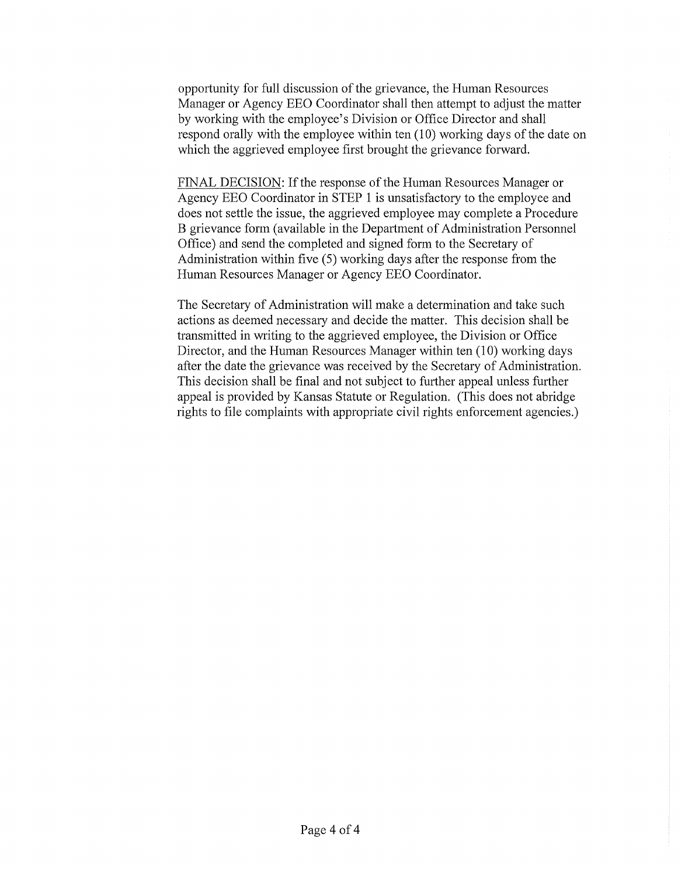opportunity for full discussion of the grievance, the Human Resources Manager or Agency EEO Coordinator shall then attempt to adjust the matter by working with the employee's Division or Office Director and shall respond orally with the employee within ten (10) working days of the date on which the aggrieved employee first brought the grievance forward.

FINAL DECISION: If the response of the Human Resources Manager or Agency EEO Coordinator in STEP 1 is unsatisfactory to the employee and does not settle the issue, the aggrieved employee may complete a Procedure B grievance form (available in the Department of Administration Personnel Office) and send the completed and signed form to the Secretary of Administration within five (5) working days after the response from the Human Resources Manager or Agency EEO Coordinator.

The Secretary of Administration will make a determination and take such actions as deemed necessary and decide the matter. This decision shall be transmitted in writing to the aggrieved employee, the Division or Office Director, and the Human Resources Manager within ten (10) working days after the date the grievance was received by the Secretary of Administration. This decision shall be final and not subject to further appeal unless further appeal is provided by Kansas Statute or Regulation. (This does not abridge rights to file complaints with appropriate civil rights enforcement agencies.)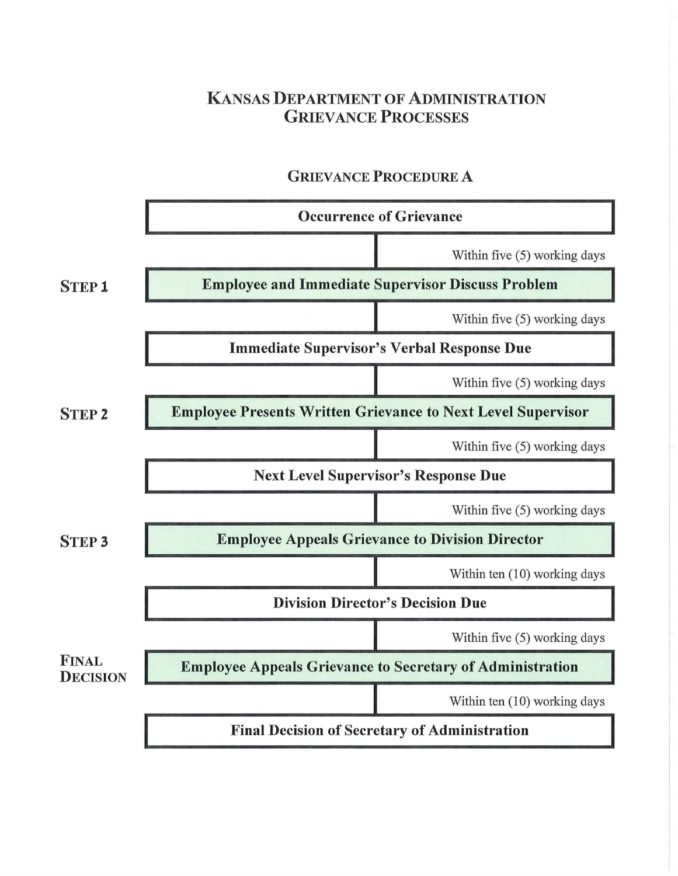## **KANSAS DEPARTMENT OF ADMINISTRATION**  GRIEVANCE **PROCESSES**